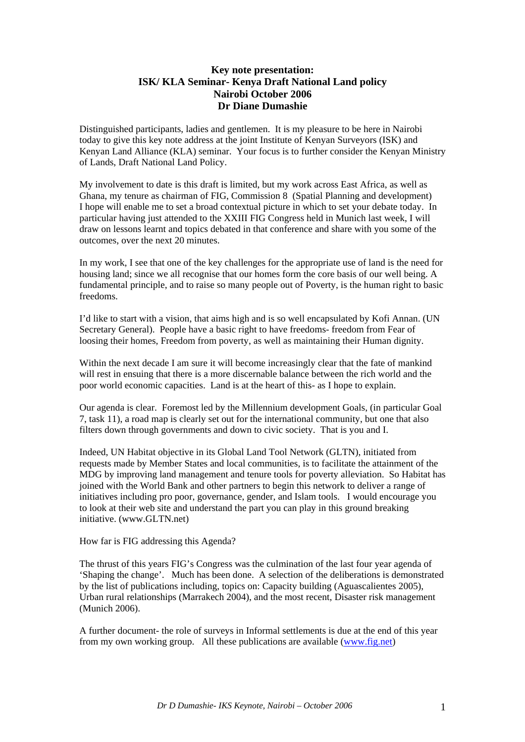## **Key note presentation: ISK/ KLA Seminar- Kenya Draft National Land policy Nairobi October 2006 Dr Diane Dumashie**

Distinguished participants, ladies and gentlemen. It is my pleasure to be here in Nairobi today to give this key note address at the joint Institute of Kenyan Surveyors (ISK) and Kenyan Land Alliance (KLA) seminar. Your focus is to further consider the Kenyan Ministry of Lands, Draft National Land Policy.

My involvement to date is this draft is limited, but my work across East Africa, as well as Ghana, my tenure as chairman of FIG, Commission 8 (Spatial Planning and development) I hope will enable me to set a broad contextual picture in which to set your debate today. In particular having just attended to the XXIII FIG Congress held in Munich last week, I will draw on lessons learnt and topics debated in that conference and share with you some of the outcomes, over the next 20 minutes.

In my work, I see that one of the key challenges for the appropriate use of land is the need for housing land; since we all recognise that our homes form the core basis of our well being. A fundamental principle, and to raise so many people out of Poverty, is the human right to basic freedoms.

I'd like to start with a vision, that aims high and is so well encapsulated by Kofi Annan. (UN Secretary General). People have a basic right to have freedoms- freedom from Fear of loosing their homes, Freedom from poverty, as well as maintaining their Human dignity.

Within the next decade I am sure it will become increasingly clear that the fate of mankind will rest in ensuing that there is a more discernable balance between the rich world and the poor world economic capacities. Land is at the heart of this- as I hope to explain.

Our agenda is clear. Foremost led by the Millennium development Goals, (in particular Goal 7, task 11), a road map is clearly set out for the international community, but one that also filters down through governments and down to civic society. That is you and I.

Indeed, UN Habitat objective in its Global Land Tool Network (GLTN), initiated from requests made by Member States and local communities, is to facilitate the attainment of the MDG by improving land management and tenure tools for poverty alleviation. So Habitat has joined with the World Bank and other partners to begin this network to deliver a range of initiatives including pro poor, governance, gender, and Islam tools. I would encourage you to look at their web site and understand the part you can play in this ground breaking initiative. (www.GLTN.net)

How far is FIG addressing this Agenda?

The thrust of this years FIG's Congress was the culmination of the last four year agenda of 'Shaping the change'. Much has been done. A selection of the deliberations is demonstrated by the list of publications including, topics on: Capacity building (Aguascalientes 2005), Urban rural relationships (Marrakech 2004), and the most recent, Disaster risk management (Munich 2006).

A further document- the role of surveys in Informal settlements is due at the end of this year from my own working group. All these publications are available (www.fig.net)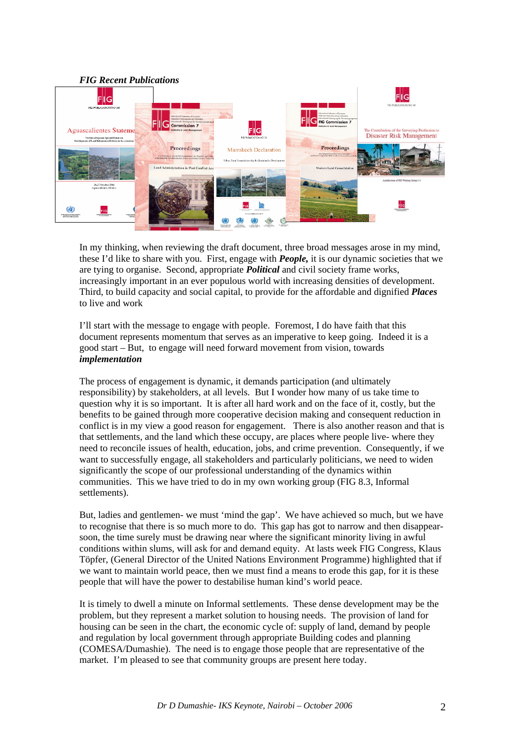

In my thinking, when reviewing the draft document, three broad messages arose in my mind, these I'd like to share with you. First, engage with *People,* it is our dynamic societies that we are tying to organise. Second, appropriate *Political* and civil society frame works, increasingly important in an ever populous world with increasing densities of development. Third, to build capacity and social capital, to provide for the affordable and dignified *Places* to live and work

I'll start with the message to engage with people. Foremost, I do have faith that this document represents momentum that serves as an imperative to keep going. Indeed it is a good start – But, to engage will need forward movement from vision, towards *implementation* 

The process of engagement is dynamic, it demands participation (and ultimately responsibility) by stakeholders, at all levels. But I wonder how many of us take time to question why it is so important. It is after all hard work and on the face of it, costly, but the benefits to be gained through more cooperative decision making and consequent reduction in conflict is in my view a good reason for engagement. There is also another reason and that is that settlements, and the land which these occupy, are places where people live- where they need to reconcile issues of health, education, jobs, and crime prevention. Consequently, if we want to successfully engage, all stakeholders and particularly politicians, we need to widen significantly the scope of our professional understanding of the dynamics within communities. This we have tried to do in my own working group (FIG 8.3, Informal settlements).

But, ladies and gentlemen- we must 'mind the gap'. We have achieved so much, but we have to recognise that there is so much more to do. This gap has got to narrow and then disappearsoon, the time surely must be drawing near where the significant minority living in awful conditions within slums, will ask for and demand equity. At lasts week FIG Congress, Klaus Töpfer, (General Director of the United Nations Environment Programme) highlighted that if we want to maintain world peace, then we must find a means to erode this gap, for it is these people that will have the power to destabilise human kind's world peace.

It is timely to dwell a minute on Informal settlements. These dense development may be the problem, but they represent a market solution to housing needs. The provision of land for housing can be seen in the chart, the economic cycle of: supply of land, demand by people and regulation by local government through appropriate Building codes and planning (COMESA/Dumashie). The need is to engage those people that are representative of the market. I'm pleased to see that community groups are present here today.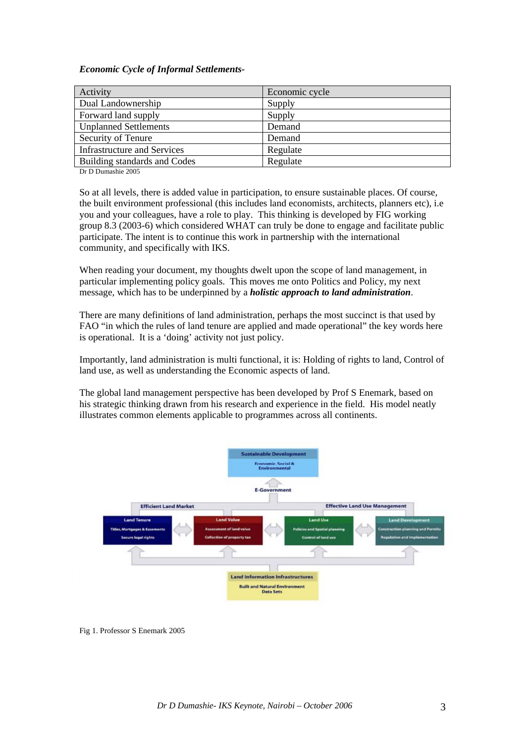## *Economic Cycle of Informal Settlements-*

| Activity                           | Economic cycle |
|------------------------------------|----------------|
| Dual Landownership                 | Supply         |
| Forward land supply                | Supply         |
| <b>Unplanned Settlements</b>       | Demand         |
| Security of Tenure                 | Demand         |
| <b>Infrastructure and Services</b> | Regulate       |
| Building standards and Codes       | Regulate       |

Dr D Dumashie 2005

So at all levels, there is added value in participation, to ensure sustainable places. Of course, the built environment professional (this includes land economists, architects, planners etc), i.e you and your colleagues, have a role to play. This thinking is developed by FIG working group 8.3 (2003-6) which considered WHAT can truly be done to engage and facilitate public participate. The intent is to continue this work in partnership with the international community, and specifically with IKS.

When reading your document, my thoughts dwelt upon the scope of land management, in particular implementing policy goals. This moves me onto Politics and Policy, my next message, which has to be underpinned by a *holistic approach to land administration*.

There are many definitions of land administration, perhaps the most succinct is that used by FAO "in which the rules of land tenure are applied and made operational" the key words here is operational. It is a 'doing' activity not just policy.

Importantly, land administration is multi functional, it is: Holding of rights to land, Control of land use, as well as understanding the Economic aspects of land.

The global land management perspective has been developed by Prof S Enemark, based on his strategic thinking drawn from his research and experience in the field. His model neatly illustrates common elements applicable to programmes across all continents.



Fig 1. Professor S Enemark 2005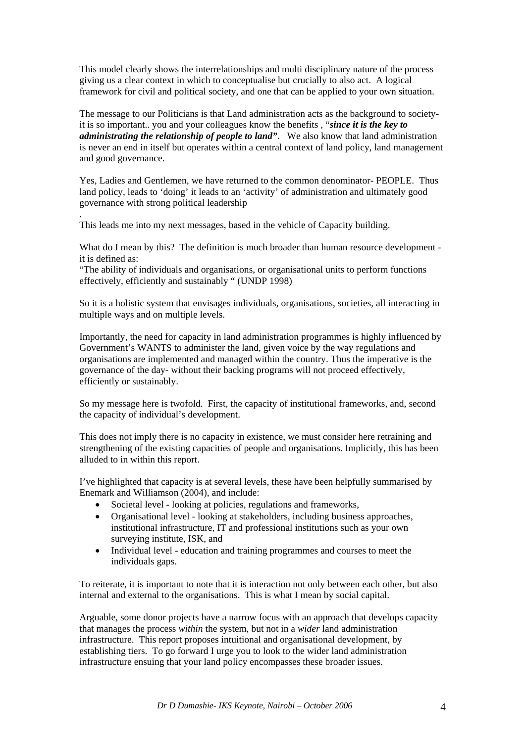This model clearly shows the interrelationships and multi disciplinary nature of the process giving us a clear context in which to conceptualise but crucially to also act. A logical framework for civil and political society, and one that can be applied to your own situation.

The message to our Politicians is that Land administration acts as the background to societyit is so important.. you and your colleagues know the benefits , "*since it is the key to administrating the relationship of people to land"*. We also know that land administration is never an end in itself but operates within a central context of land policy, land management and good governance.

Yes, Ladies and Gentlemen, we have returned to the common denominator- PEOPLE. Thus land policy, leads to 'doing' it leads to an 'activity' of administration and ultimately good governance with strong political leadership

This leads me into my next messages, based in the vehicle of Capacity building.

.

What do I mean by this? The definition is much broader than human resource development it is defined as:

"The ability of individuals and organisations, or organisational units to perform functions effectively, efficiently and sustainably " (UNDP 1998)

So it is a holistic system that envisages individuals, organisations, societies, all interacting in multiple ways and on multiple levels.

Importantly, the need for capacity in land administration programmes is highly influenced by Government's WANTS to administer the land, given voice by the way regulations and organisations are implemented and managed within the country. Thus the imperative is the governance of the day- without their backing programs will not proceed effectively, efficiently or sustainably.

So my message here is twofold. First, the capacity of institutional frameworks, and, second the capacity of individual's development.

This does not imply there is no capacity in existence, we must consider here retraining and strengthening of the existing capacities of people and organisations. Implicitly, this has been alluded to in within this report.

I've highlighted that capacity is at several levels, these have been helpfully summarised by Enemark and Williamson (2004), and include:

- Societal level looking at policies, regulations and frameworks,
- Organisational level looking at stakeholders, including business approaches, institutional infrastructure, IT and professional institutions such as your own surveying institute, ISK, and
- Individual level education and training programmes and courses to meet the individuals gaps.

To reiterate, it is important to note that it is interaction not only between each other, but also internal and external to the organisations. This is what I mean by social capital.

Arguable, some donor projects have a narrow focus with an approach that develops capacity that manages the process *within* the system, but not in a *wider* land administration infrastructure. This report proposes intuitional and organisational development, by establishing tiers. To go forward I urge you to look to the wider land administration infrastructure ensuing that your land policy encompasses these broader issues.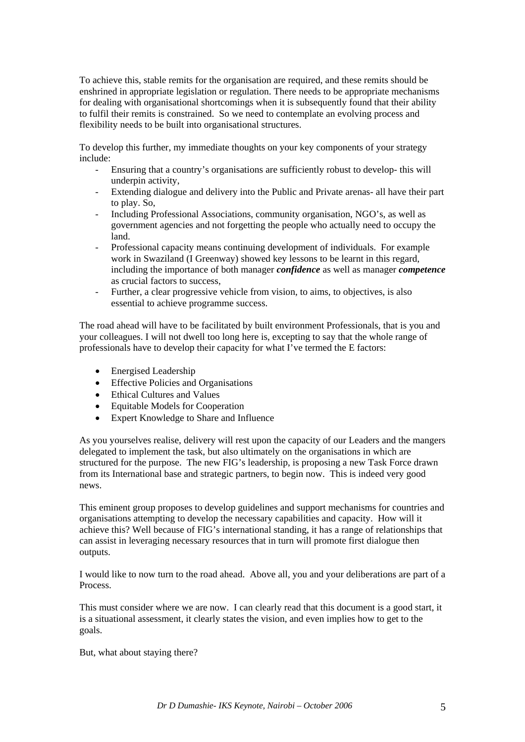To achieve this, stable remits for the organisation are required, and these remits should be enshrined in appropriate legislation or regulation. There needs to be appropriate mechanisms for dealing with organisational shortcomings when it is subsequently found that their ability to fulfil their remits is constrained. So we need to contemplate an evolving process and flexibility needs to be built into organisational structures.

To develop this further, my immediate thoughts on your key components of your strategy include:

- Ensuring that a country's organisations are sufficiently robust to develop- this will underpin activity,
- Extending dialogue and delivery into the Public and Private arenas- all have their part to play. So,
- Including Professional Associations, community organisation, NGO's, as well as government agencies and not forgetting the people who actually need to occupy the land.
- Professional capacity means continuing development of individuals. For example work in Swaziland (I Greenway) showed key lessons to be learnt in this regard. including the importance of both manager *confidence* as well as manager *competence*  as crucial factors to success,
- Further, a clear progressive vehicle from vision, to aims, to objectives, is also essential to achieve programme success.

The road ahead will have to be facilitated by built environment Professionals, that is you and your colleagues. I will not dwell too long here is, excepting to say that the whole range of professionals have to develop their capacity for what I've termed the E factors:

- Energised Leadership
- Effective Policies and Organisations
- Ethical Cultures and Values
- Equitable Models for Cooperation
- Expert Knowledge to Share and Influence

As you yourselves realise, delivery will rest upon the capacity of our Leaders and the mangers delegated to implement the task, but also ultimately on the organisations in which are structured for the purpose. The new FIG's leadership, is proposing a new Task Force drawn from its International base and strategic partners, to begin now. This is indeed very good news.

This eminent group proposes to develop guidelines and support mechanisms for countries and organisations attempting to develop the necessary capabilities and capacity. How will it achieve this? Well because of FIG's international standing, it has a range of relationships that can assist in leveraging necessary resources that in turn will promote first dialogue then outputs.

I would like to now turn to the road ahead. Above all, you and your deliberations are part of a Process.

This must consider where we are now. I can clearly read that this document is a good start, it is a situational assessment, it clearly states the vision, and even implies how to get to the goals.

But, what about staying there?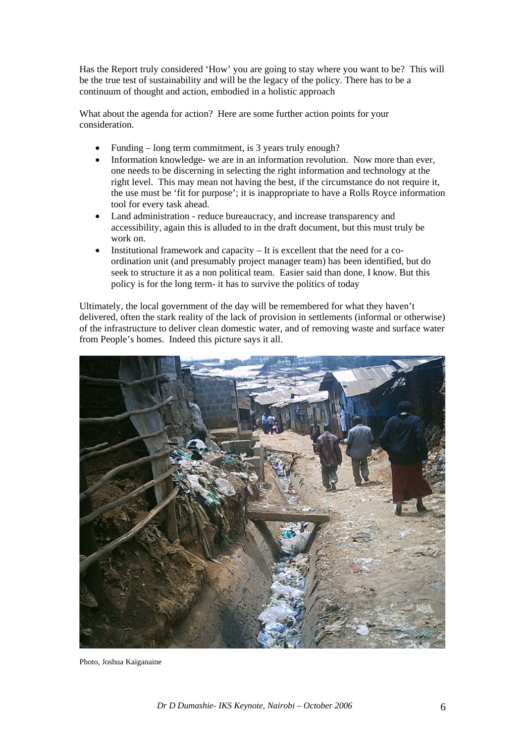Has the Report truly considered 'How' you are going to stay where you want to be? This will be the true test of sustainability and will be the legacy of the policy. There has to be a continuum of thought and action, embodied in a holistic approach

What about the agenda for action? Here are some further action points for your consideration.

- Funding long term commitment, is 3 years truly enough?
- Information knowledge- we are in an information revolution. Now more than ever, one needs to be discerning in selecting the right information and technology at the right level. This may mean not having the best, if the circumstance do not require it, the use must be 'fit for purpose'; it is inappropriate to have a Rolls Royce information tool for every task ahead.
- Land administration reduce bureaucracy, and increase transparency and accessibility, again this is alluded to in the draft document, but this must truly be work on.
- Institutional framework and capacity  $-$  It is excellent that the need for a coordination unit (and presumably project manager team) has been identified, but do seek to structure it as a non political team. Easier said than done, I know. But this policy is for the long term- it has to survive the politics of today

Ultimately, the local government of the day will be remembered for what they haven't delivered, often the stark reality of the lack of provision in settlements (informal or otherwise) of the infrastructure to deliver clean domestic water, and of removing waste and surface water from People's homes. Indeed this picture says it all.



Photo, Joshua Kaiganaine